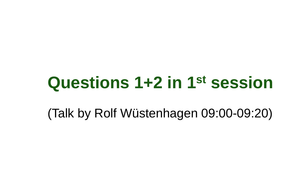# **Questions 1+2 in 1st session**

(Talk by Rolf Wüstenhagen 09:00-09:20)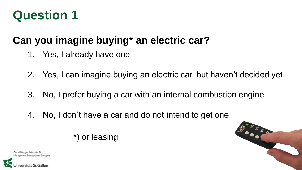### **Can you imagine buying\* an electric car?**

- 1. Yes, I already have one
- 2. Yes, I can imagine buying an electric car, but haven't decided yet
- 3. No, I prefer buying a car with an internal combustion engine
- 4. No, I don't have a car and do not intend to get one

\*) or leasing



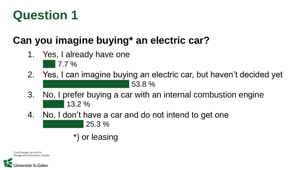## **Can you imagine buying\* an electric car?**

- 1. Yes, I already have one 7.7 %
- 2. Yes, I can imagine buying an electric car, but haven't decided yet 53.8 %
- 3. No, I prefer buying a car with an internal combustion engine 13.2 %
- 4. No, I don't have a car and do not intend to get one 25.3 %
	- \*) or leasing

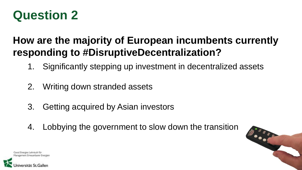### **How are the majority of European incumbents currently responding to #DisruptiveDecentralization?**

- 1. Significantly stepping up investment in decentralized assets
- 2. Writing down stranded assets
- 3. Getting acquired by Asian investors
- 4. Lobbying the government to slow down the transition



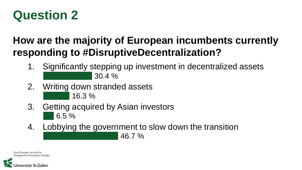### **How are the majority of European incumbents currently responding to #DisruptiveDecentralization?**

- 1. Significantly stepping up investment in decentralized assets 30.4 %
- 2. Writing down stranded assets 16.3 %
- 3. Getting acquired by Asian investors 6.5 %
- 4. Lobbying the government to slow down the transition

46.7 %

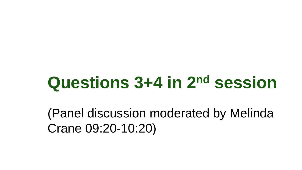# **Questions 3+4 in 2nd session**

(Panel discussion moderated by Melinda Crane 09:20-10:20)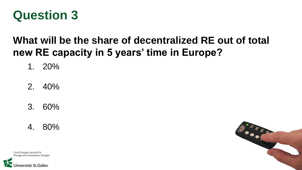

#### **What will be the share of decentralized RE out of total new RE capacity in 5 years' time in Europe?**

1. 20%

2. 40%

3. 60%

4. 80%



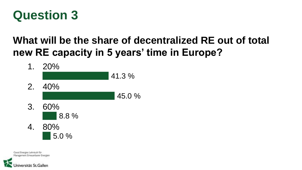

#### **What will be the share of decentralized RE out of total new RE capacity in 5 years' time in Europe?**



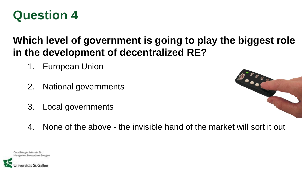

#### **Which level of government is going to play the biggest role in the development of decentralized RE?**

- 1. European Union
- 2. National governments
- 3. Local governments



4. None of the above - the invisible hand of the market will sort it out